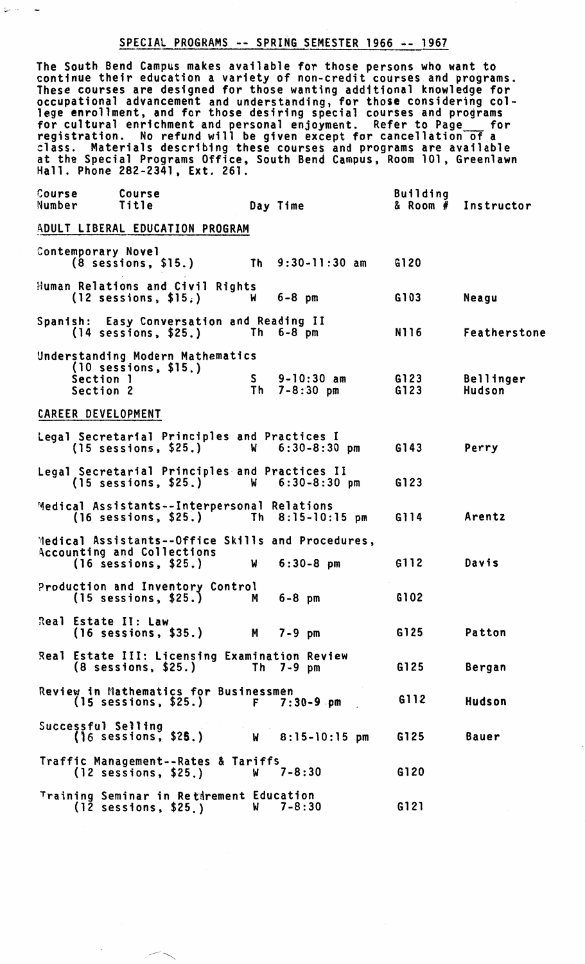# SPECIAL PROGRAMS -- SPRING SEMESTER 1966 -- 1967

 $\zeta$ 

 $\overline{a}$ 

The South Bend Campus makes available for those persons who want to continue their education a variety of non-credit courses; and programs. These courses are designed for those wanting additional knowledge for occupational advancement and understanding. for those considering college enrollment, and for those desiring special courses and programs<br>for cultural enrichment and personal enjoyment. Refer to Page for registration. No refund will be given except for cancellation of a class. Materials describing these courses and programs are available at the Special Programs Office, South Bend Campus, Room 101, Greenlawn Hall. Phone 282-2341. Ext. 261.

| Course<br>Number                | Course<br>Title                                                                                                  | Day Time                                    | <b>Building</b><br>$&$ Room $#$ | Instructor                 |  |  |  |  |
|---------------------------------|------------------------------------------------------------------------------------------------------------------|---------------------------------------------|---------------------------------|----------------------------|--|--|--|--|
| ADULT LIBERAL EDUCATION PROGRAM |                                                                                                                  |                                             |                                 |                            |  |  |  |  |
| Contemporary Novel              | (8 sessions, \$15.)                                                                                              | Th $9:30-11:30$ am                          | G120                            |                            |  |  |  |  |
|                                 | Human Relations and Civil Rights<br>$(12$ sessions, \$15.)                                                       | $6 - 8$ pm<br>W                             | G103                            | Neagu                      |  |  |  |  |
|                                 | Spanish: Easy Conversation and Reading II<br>$(14$ sessions, $$25.)$                                             | Th $6-8$ pm                                 | N116                            | Featherstone               |  |  |  |  |
| Section 1<br>Section 2          | Understanding Modern Mathematics<br>$(10$ sessions, $$15.)$                                                      | $9 - 10:30$ am<br>S.<br>$7 - 8:30$ pm<br>Th | G123<br>G123                    | <b>Bellinger</b><br>Hudson |  |  |  |  |
| CAREER DEVELOPMENT              |                                                                                                                  |                                             |                                 |                            |  |  |  |  |
|                                 | Legal Secretarial Principles and Practices I<br>$(15$ sessions, $$25.)$                                          | $6:30 - 8:30$ pm<br><b>W</b>                | G143                            | Perry                      |  |  |  |  |
|                                 | Legal Secretarial Principles and Practices II<br>$(15$ sessions, \$25.) W $6:30-8:30$ pm                         |                                             | G123                            |                            |  |  |  |  |
|                                 | Medical Assistants--Interpersonal Relations<br>(16 sessions, \$25.) Th 8:15-10:15 pm                             |                                             | G114                            | Arentz                     |  |  |  |  |
|                                 | Medical Assistants--Office Skills and Procedures,<br><b>Accounting and Collections</b><br>$(16$ sessions, \$25.) | $6:30-8$ pm<br>W                            | G112                            | Davis                      |  |  |  |  |
|                                 | Production and Inventory Control<br>$(15$ sessions, \$25.)                                                       | $6 - 8$ pm<br>M                             | G102                            |                            |  |  |  |  |
| Real Estate II: Law             | (16 sessions, \$35.) M 7-9 pm                                                                                    |                                             | G125                            | Patton                     |  |  |  |  |
|                                 | Real Estate III: Licensing Examination Review<br>$(8$ sessions, $$25.)$                                          | Th $7-9$ pm                                 | G125                            | Bergan                     |  |  |  |  |
|                                 | Review in Mathematics for Businessmen<br>(15 sessions, \$25.) F 7:30-9 pm                                        |                                             | G112                            | Hudson                     |  |  |  |  |
|                                 | Successful Selling<br>(16 sessions, \$2 <b>5</b> .)                                                              | W 8:15-10:15 pm                             | G125                            | Bauer                      |  |  |  |  |
|                                 | Traffic Management--Rates & Tariffs<br>$(12$ sessions, \$25.)                                                    | $7 - 8:30$<br>W                             | G120                            |                            |  |  |  |  |
|                                 | Training Seminar in Retirement Education<br>$(12$ sessions, \$25.)                                               | $7 - 8:30$<br><b>W</b>                      | G121                            |                            |  |  |  |  |

 $\overline{\phantom{a}}$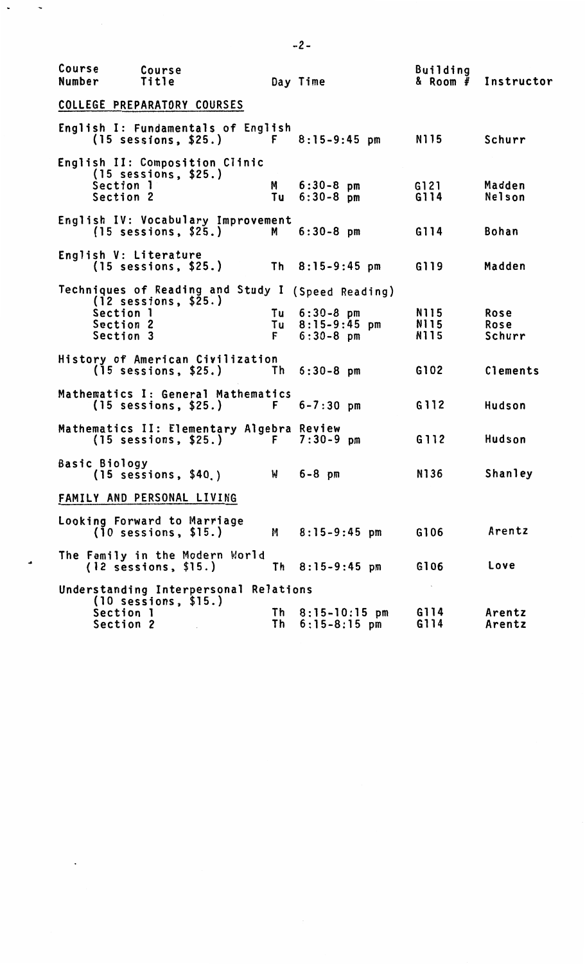| Course<br>Number | Course<br>Title                                                                                                     |          | Day Time                                           | <b>Building</b><br>$8$ Room $#$ | Instructor             |
|------------------|---------------------------------------------------------------------------------------------------------------------|----------|----------------------------------------------------|---------------------------------|------------------------|
|                  | COLLEGE PREPARATORY COURSES                                                                                         |          |                                                    |                                 |                        |
|                  | English I: Fundamentals of English<br>$(15$ sessions, \$25.)                                                        |          | $F = 8:15-9:45$ pm                                 | N115                            | Schurr                 |
|                  | English II: Composition Clinic<br>$(15$ sessions, \$25.)<br>Section 1<br>Section 2                                  | M<br>Tu  | $6:30-8$ pm<br>$6:30-8$ pm                         | G121<br>G114                    | Madden<br>Nelson       |
|                  | English IV: Vocabulary Improvement<br>$(15$ sessions, $$25.)$                                                       | M I      | $6:30-8$ pm                                        | G114                            | <b>Bohan</b>           |
|                  | English V: Literature<br>$(15 \text{ sessions}, $25.)$ Th $8:15-9:45 \text{ pm}$                                    |          |                                                    | G119                            | Madden                 |
|                  | Techniques of Reading and Study I (Speed Reading)<br>$(12$ sessions, $$25.)$<br>Section 1<br>Section 2<br>Section 3 | F.       | $Tu = 6:30-8$ pm<br>Tu 8:15-9:45 pm<br>$6:30-8$ pm | N115<br>N115<br>N115            | Rose<br>Rose<br>Schurr |
|                  | History of American Civilization<br>$(15$ sessions, $$25.)$                                                         |          | Th 6:30-8 pm                                       | G102                            | Clements               |
|                  | Mathematics I: General Mathematics<br>(15 sessions, \$25.)                                                          |          | $F = 6 - 7:30 \text{ pm}$                          | G112                            | Hudson                 |
|                  | Mathematics II: Elementary Algebra Review<br>$(15$ sessions, \$25.)                                                 | F        | $7:30-9$ pm                                        | G112                            | Hudson                 |
| Basic Biology    | $(15$ sessions, $$40.)$                                                                                             | <b>M</b> | $6 - 8$ pm                                         | N136                            | Shanley                |
|                  | FAMILY AND PERSONAL LIVING                                                                                          |          |                                                    |                                 |                        |
|                  | Looking Forward to Marriage<br>$(10$ sessions, \$15.)                                                               | M .      | $8:15-9:45$ pm                                     | G106                            | Arentz                 |
|                  | The Family in the Modern World<br>(12 sessions, \$15.)                                                              |          | Th $8:15-9:45$ pm                                  | G106                            | Love                   |
|                  | Understanding Interpersonal Relations<br>$(10$ sessions, \$15.)<br>Section 1                                        |          | Th $8:15-10:15$ pm                                 | $\mathbf{r}$<br>G114            | Arentz                 |
|                  | Section 2                                                                                                           | Th       | $6:15-8:15$ pm                                     | G114                            | Arentz                 |

 $\ddot{\phantom{0}}$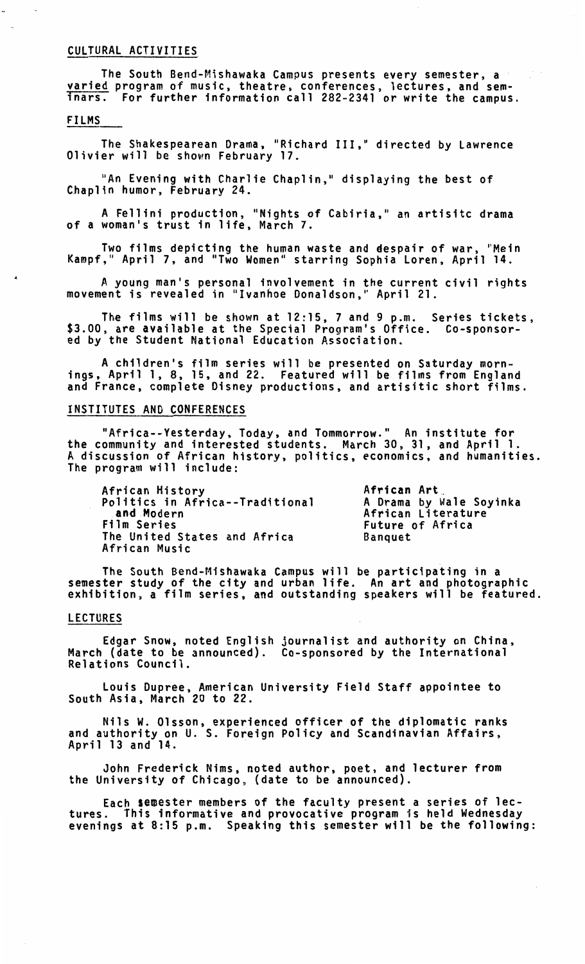#### CULTURAL ACTIVITIES

The South Bend-Mishawaka Campus presents every semester, a varied program of music, theatre, conferences, lectures, and seminars. For further information call 282-2341 or write the campus.

## FILMS

The Shakespearean Drama, "Richard III," directed by Lawrence Olivier will be shown February 17.

"An Evening with Charlie Chaplin," displaying the best of Chaplin humor, February 24.

A Fellini production, "Nights of Cabiria," an artisitc drama of a woman's trust in life, March 7.

Two films depicting the human waste and despair of war, "Mein Kampf," April 7, and "Two Women" starring Sophia Loren, April 14.

A young man's personal involvement in the current civil rights movement is revealed in "Ivanhoe Donaldson," April 21.

The films will be shown at 12:15, 7 and 9 p.m. Series tickets, \$3.00, are available at the Special Program's Office. Co-sponsor-ed by the Student National Education Association.

A children's film series will be presented on Saturday mornings, April 1, 8, 15, and 22. Featured will be films from England<br>and France, complete Disney productions, and artisitic short films.

## INSTITUTES AND CONFERENCES

"Africa--Yesterday, Today, and Tommorrow." An institute for the community and interested students. March 30, 31, and April 1. A discussion of African history, politics, economics, and humanities. The program will include:

African History Politics in Africa--Traditional and Modern<br>Film Series The United States and Africa Banquet<br>African Music

A**frican Art**<br>A Drama by Wale Soyinka<br>African Literature Future of Africa<br>Banquet

The South Bend-Mishawaka Campus will be participating in a semester study of the city and urban life. An art and photographic exhibition, a film series, and outstanding speakers will be featured.

## LECTURES

Edgar Snow, noted English journalist and authority on China, March (date to be announced). Co-sponsored by the International Relations Council.

Louis Dupree, American University Field Staff appointee to South Asia, March 20 to 22.

Nils W. Olsson, experienced officer of the diplomatic ranks and authority on U. S. Foreign Policy and Scandinavian Affairs,<br>April 13 and 14.

John Frederick Nims, noted author, poet, and lecturer from the University of Chicago, (date to be announced).

Each semester members of the faculty present a series of lec-<br>tures. This informative and provocative program is held Wednesday evenings at 8:15 p.m. Speaking this semester will be the following: